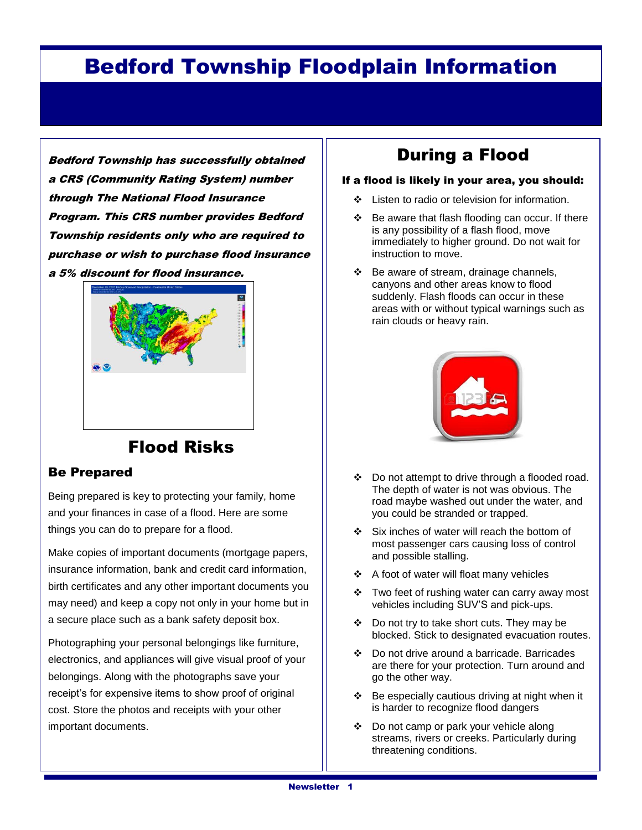## Bedford Township Floodplain Information

Bedford Township has successfully obtained a CRS (Community Rating System) number through The National Flood Insurance Program. This CRS number provides Bedford Township residents only who are required to purchase or wish to purchase flood insurance a 5% discount for flood insurance.



### Flood Risks

#### Be Prepared

Being prepared is key to protecting your family, home and your finances in case of a flood. Here are some things you can do to prepare for a flood.

Make copies of important documents (mortgage papers, insurance information, bank and credit card information, birth certificates and any other important documents you may need) and keep a copy not only in your home but in a secure place such as a bank safety deposit box.

Photographing your personal belongings like furniture, electronics, and appliances will give visual proof of your belongings. Along with the photographs save your receipt's for expensive items to show proof of original cost. Store the photos and receipts with your other important documents.

## During a Flood

#### If a flood is likely in your area, you should:

- ❖ Listen to radio or television for information.
- $\div$  Be aware that flash flooding can occur. If there is any possibility of a flash flood, move immediately to higher ground. Do not wait for instruction to move.
- $\div$  Be aware of stream, drainage channels, canyons and other areas know to flood suddenly. Flash floods can occur in these areas with or without typical warnings such as rain clouds or heavy rain.



- Do not attempt to drive through a flooded road. The depth of water is not was obvious. The road maybe washed out under the water, and you could be stranded or trapped.
- Six inches of water will reach the bottom of most passenger cars causing loss of control and possible stalling.
- A foot of water will float many vehicles
- Two feet of rushing water can carry away most vehicles including SUV'S and pick-ups.
- $\div$  Do not try to take short cuts. They may be blocked. Stick to designated evacuation routes.
- Do not drive around a barricade. Barricades are there for your protection. Turn around and go the other way.
- $\div$  Be especially cautious driving at night when it is harder to recognize flood dangers
- Do not camp or park your vehicle along streams, rivers or creeks. Particularly during threatening conditions.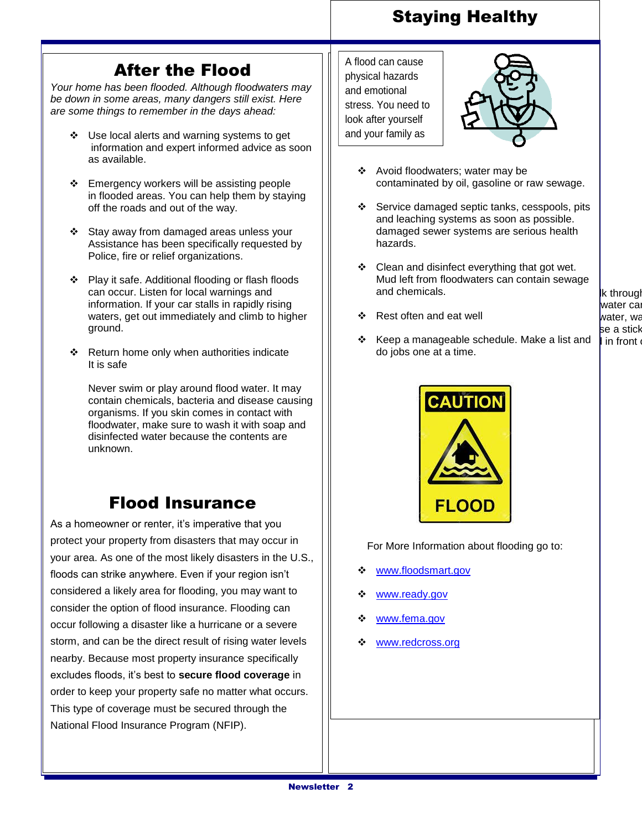## Staying Healthy

## After the Flood

*Your home has been flooded. Although floodwaters may be down in some areas, many dangers still exist. Here are some things to remember in the days ahead:*

- ❖ Use local alerts and warning systems to get information and expert informed advice as soon as available.
- $\div$  Emergency workers will be assisting people in flooded areas. You can help them by staying off the roads and out of the way.
- Stay away from damaged areas unless your Assistance has been specifically requested by Police, fire or relief organizations.
- Play it safe. Additional flooding or flash floods can occur. Listen for local warnings and information. If your car stalls in rapidly rising waters, get out immediately and climb to higher ground.
- $\div$  Return home only when authorities indicate It is safe

Never swim or play around flood water. It may contain chemicals, bacteria and disease causing organisms. If you skin comes in contact with floodwater, make sure to wash it with soap and disinfected water because the contents are unknown.

## Flood Insurance

As a homeowner or renter, it's imperative that you protect your property from disasters that may occur in your area. As one of the most likely disasters in the U.S., floods can strike anywhere. Even if your region isn't considered a likely area for flooding, you may want to consider the option of flood insurance. Flooding can occur following a disaster like a hurricane or a severe storm, and can be the direct result of rising water levels nearby. Because most [property insurance](http://www.usinsuranceonline.com/home-insurance/policy-types/home-warranty-insurance?as=ylx41pchgppc5ss5ojktumg0) specifically excludes floods, it's best to **secure flood coverage** in order to keep your property safe no matter what occurs. This type of coverage must be secured through the National Flood Insurance Program (NFIP).

A flood can cause and emotional stress. You need to look after yourself

you focus on



- ❖ Avoid floodwaters; water may be contaminated by oil, gasoline or raw sewage.
- ❖ Service damaged septic tanks, cesspools, pits and leaching systems as soon as possible. damaged sewer systems are serious health  $b$  before it can be turned on. Wiring must be turned on. Wiring  $\alpha$ hazards.
- $\div$  Clean and disinfect everything that got wet. Mud left from floodwaters can contain sewage and chemicals.
- $\clubsuit$  Rest often and eat well
- $\blacksquare$ If your basement is full or nearly full of water,  $\blacksquare$  $\ast$  Keep a manageable schedule. Make a list and  $\parallel$  in front of do jobs one at a time.



bedding, and any other items holding For More Information about flooding go to:

- develop mold within 24 to 48 hours. ❖ [www.floodsmart.gov](http://www.floodsmart.gov/)
- Do not approach wild animals that take ❖ [www.ready.gov](http://www.ready.gov/)
- refuge from floodwaters on upper levels of \* [www.fema.gov](http://www.fema.gov/)
- water recedes. Call your local animal control ❖ [www.redcross.org](http://www.redcross.org/)

k througl water ca water, wa  $\operatorname{\mathsf{be}}$  a stick